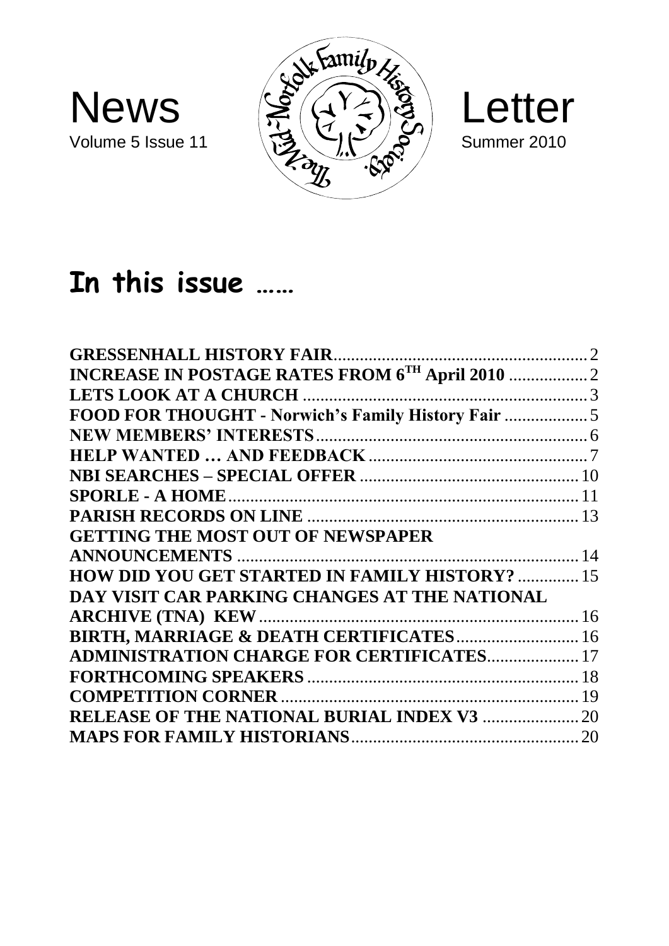





# **In this issue ……**

| INCREASE IN POSTAGE RATES FROM 6TH April 2010  2      |  |
|-------------------------------------------------------|--|
|                                                       |  |
| FOOD FOR THOUGHT - Norwich's Family History Fair  5   |  |
|                                                       |  |
|                                                       |  |
|                                                       |  |
|                                                       |  |
|                                                       |  |
| <b>GETTING THE MOST OUT OF NEWSPAPER</b>              |  |
|                                                       |  |
| <b>HOW DID YOU GET STARTED IN FAMILY HISTORY?  15</b> |  |
| DAY VISIT CAR PARKING CHANGES AT THE NATIONAL         |  |
|                                                       |  |
| BIRTH, MARRIAGE & DEATH CERTIFICATES 16               |  |
| <b>ADMINISTRATION CHARGE FOR CERTIFICATES 17</b>      |  |
|                                                       |  |
|                                                       |  |
| <b>RELEASE OF THE NATIONAL BURIAL INDEX V3  20</b>    |  |
|                                                       |  |
|                                                       |  |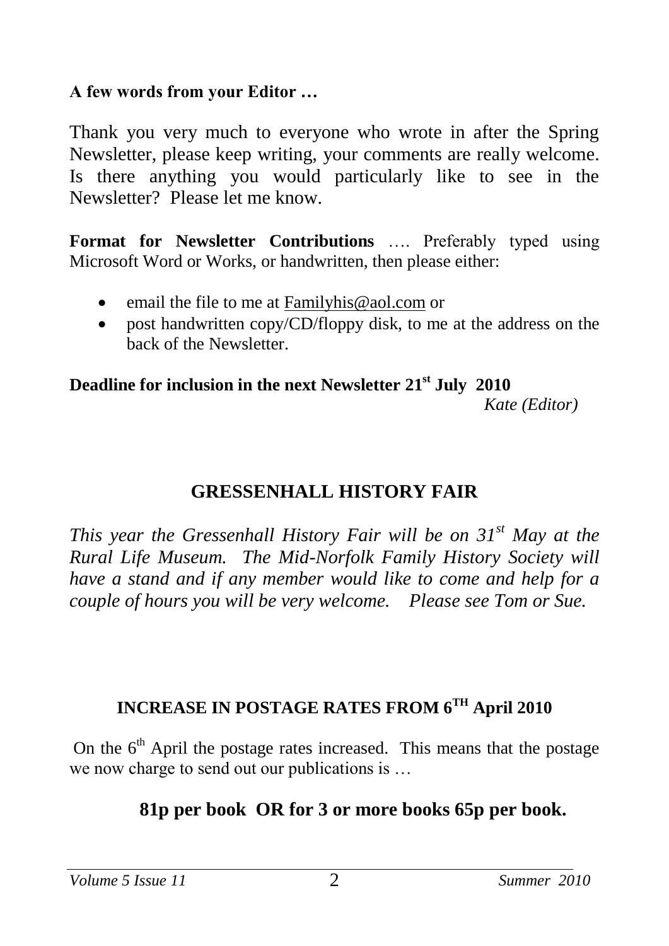#### **A few words from your Editor …**

Thank you very much to everyone who wrote in after the Spring Newsletter, please keep writing, your comments are really welcome. Is there anything you would particularly like to see in the Newsletter? Please let me know.

**Format for Newsletter Contributions** …. Preferably typed using Microsoft Word or Works, or handwritten, then please either:

- email the file to me at [Familyhis@aol.com](mailto:Familyhis@aol.com) or
- post handwritten copy/CD/floppy disk, to me at the address on the back of the Newsletter.

### **Deadline for inclusion in the next Newsletter 21st July 2010**

 *Kate (Editor)*

## **GRESSENHALL HISTORY FAIR**

*This year the Gressenhall History Fair will be on 31st May at the Rural Life Museum. The Mid-Norfolk Family History Society will have a stand and if any member would like to come and help for a couple of hours you will be very welcome. Please see Tom or Sue.*

## **INCREASE IN POSTAGE RATES FROM 6TH April 2010**

On the  $6<sup>th</sup>$  April the postage rates increased. This means that the postage we now charge to send out our publications is …

## **81p per book OR for 3 or more books 65p per book.**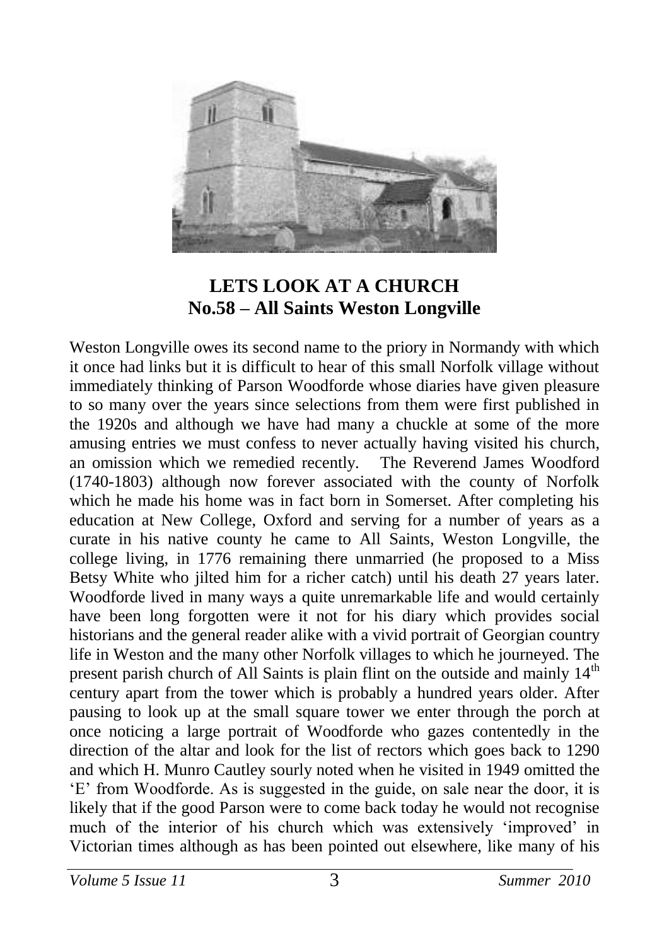

#### **LETS LOOK AT A CHURCH No.58 – All Saints Weston Longville**

Weston Longville owes its second name to the priory in Normandy with which it once had links but it is difficult to hear of this small Norfolk village without immediately thinking of Parson Woodforde whose diaries have given pleasure to so many over the years since selections from them were first published in the 1920s and although we have had many a chuckle at some of the more amusing entries we must confess to never actually having visited his church, an omission which we remedied recently. The Reverend James Woodford (1740-1803) although now forever associated with the county of Norfolk which he made his home was in fact born in Somerset. After completing his education at New College, Oxford and serving for a number of years as a curate in his native county he came to All Saints, Weston Longville, the college living, in 1776 remaining there unmarried (he proposed to a Miss Betsy White who jilted him for a richer catch) until his death 27 years later. Woodforde lived in many ways a quite unremarkable life and would certainly have been long forgotten were it not for his diary which provides social historians and the general reader alike with a vivid portrait of Georgian country life in Weston and the many other Norfolk villages to which he journeyed. The present parish church of All Saints is plain flint on the outside and mainly 14<sup>th</sup> century apart from the tower which is probably a hundred years older. After pausing to look up at the small square tower we enter through the porch at once noticing a large portrait of Woodforde who gazes contentedly in the direction of the altar and look for the list of rectors which goes back to 1290 and which H. Munro Cautley sourly noted when he visited in 1949 omitted the 'E' from Woodforde. As is suggested in the guide, on sale near the door, it is likely that if the good Parson were to come back today he would not recognise much of the interior of his church which was extensively 'improved' in Victorian times although as has been pointed out elsewhere, like many of his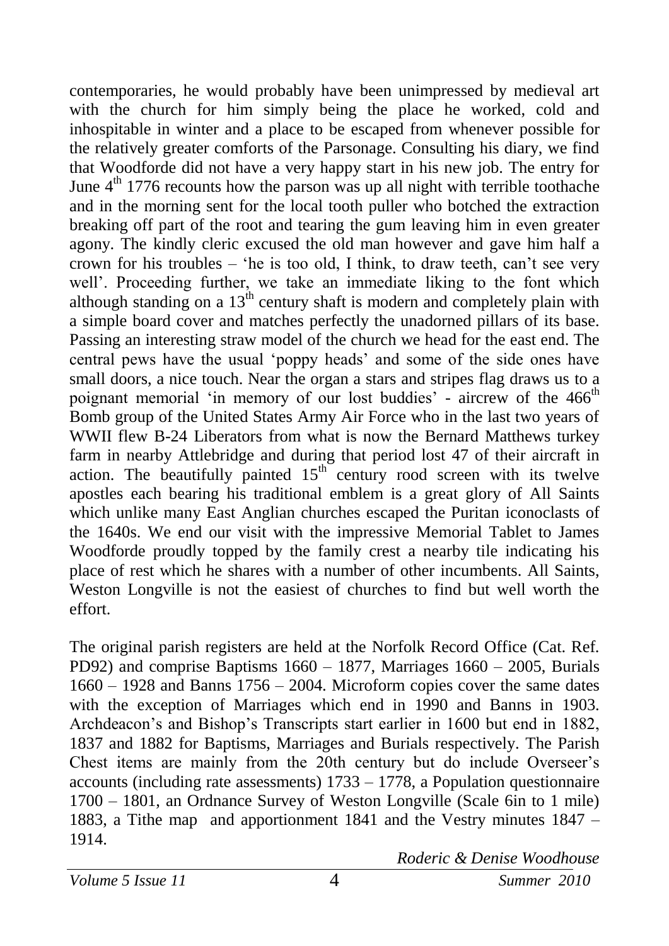contemporaries, he would probably have been unimpressed by medieval art with the church for him simply being the place he worked, cold and inhospitable in winter and a place to be escaped from whenever possible for the relatively greater comforts of the Parsonage. Consulting his diary, we find that Woodforde did not have a very happy start in his new job. The entry for June  $4<sup>th</sup>$  1776 recounts how the parson was up all night with terrible toothache and in the morning sent for the local tooth puller who botched the extraction breaking off part of the root and tearing the gum leaving him in even greater agony. The kindly cleric excused the old man however and gave him half a crown for his troubles – 'he is too old, I think, to draw teeth, can't see very well'. Proceeding further, we take an immediate liking to the font which although standing on a  $13^{th}$  century shaft is modern and completely plain with a simple board cover and matches perfectly the unadorned pillars of its base. Passing an interesting straw model of the church we head for the east end. The central pews have the usual 'poppy heads' and some of the side ones have small doors, a nice touch. Near the organ a stars and stripes flag draws us to a poignant memorial 'in memory of our lost buddies' - aircrew of the 466<sup>th</sup> Bomb group of the United States Army Air Force who in the last two years of WWII flew B-24 Liberators from what is now the Bernard Matthews turkey farm in nearby Attlebridge and during that period lost 47 of their aircraft in action. The beautifully painted  $15<sup>th</sup>$  century rood screen with its twelve apostles each bearing his traditional emblem is a great glory of All Saints which unlike many East Anglian churches escaped the Puritan iconoclasts of the 1640s. We end our visit with the impressive Memorial Tablet to James Woodforde proudly topped by the family crest a nearby tile indicating his place of rest which he shares with a number of other incumbents. All Saints, Weston Longville is not the easiest of churches to find but well worth the effort.

The original parish registers are held at the Norfolk Record Office (Cat. Ref. PD92) and comprise Baptisms 1660 – 1877, Marriages 1660 – 2005, Burials 1660 – 1928 and Banns 1756 – 2004. Microform copies cover the same dates with the exception of Marriages which end in 1990 and Banns in 1903. Archdeacon's and Bishop's Transcripts start earlier in 1600 but end in 1882, 1837 and 1882 for Baptisms, Marriages and Burials respectively. The Parish Chest items are mainly from the 20th century but do include Overseer's accounts (including rate assessments) 1733 – 1778, a Population questionnaire 1700 – 1801, an Ordnance Survey of Weston Longville (Scale 6in to 1 mile) 1883, a Tithe map and apportionment 1841 and the Vestry minutes 1847 – 1914.

*Roderic & Denise Woodhouse*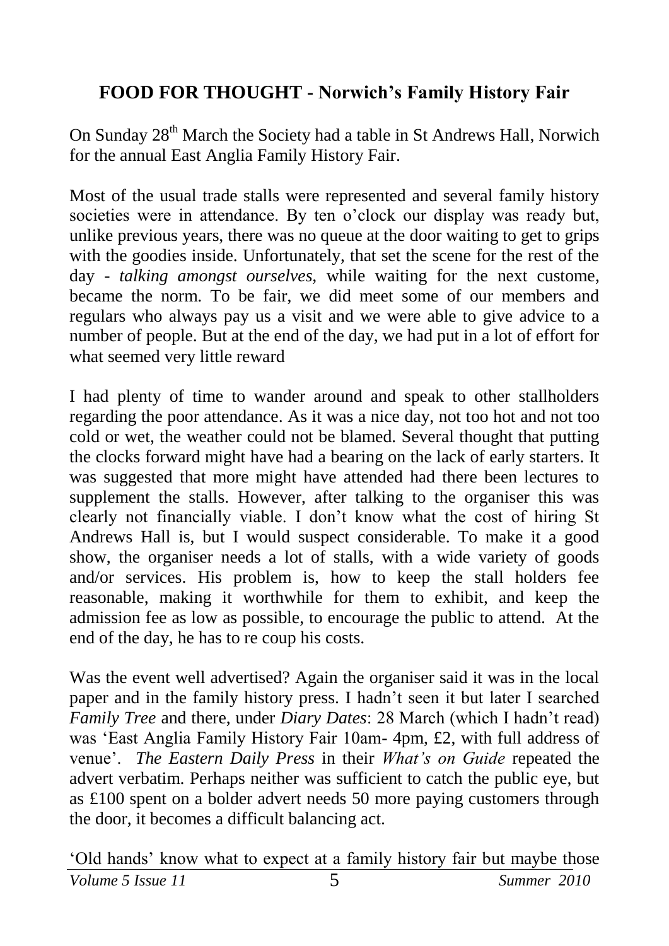## **FOOD FOR THOUGHT - Norwich's Family History Fair**

On Sunday 28<sup>th</sup> March the Society had a table in St Andrews Hall, Norwich for the annual East Anglia Family History Fair.

Most of the usual trade stalls were represented and several family history societies were in attendance. By ten o'clock our display was ready but, unlike previous years, there was no queue at the door waiting to get to grips with the goodies inside. Unfortunately, that set the scene for the rest of the day - *talking amongst ourselves,* while waiting for the next custome, became the norm. To be fair, we did meet some of our members and regulars who always pay us a visit and we were able to give advice to a number of people. But at the end of the day, we had put in a lot of effort for what seemed very little reward

I had plenty of time to wander around and speak to other stallholders regarding the poor attendance. As it was a nice day, not too hot and not too cold or wet, the weather could not be blamed. Several thought that putting the clocks forward might have had a bearing on the lack of early starters. It was suggested that more might have attended had there been lectures to supplement the stalls. However, after talking to the organiser this was clearly not financially viable. I don't know what the cost of hiring St Andrews Hall is, but I would suspect considerable. To make it a good show, the organiser needs a lot of stalls, with a wide variety of goods and/or services. His problem is, how to keep the stall holders fee reasonable, making it worthwhile for them to exhibit, and keep the admission fee as low as possible, to encourage the public to attend. At the end of the day, he has to re coup his costs.

Was the event well advertised? Again the organiser said it was in the local paper and in the family history press. I hadn't seen it but later I searched *Family Tree* and there, under *Diary Dates*: 28 March (which I hadn't read) was 'East Anglia Family History Fair 10am- 4pm, £2, with full address of venue'. *The Eastern Daily Press* in their *What's on Guide* repeated the advert verbatim. Perhaps neither was sufficient to catch the public eye, but as £100 spent on a bolder advert needs 50 more paying customers through the door, it becomes a difficult balancing act.

*Volume 5 Issue 11* 5 *Summer 2010*

'Old hands' know what to expect at a family history fair but maybe those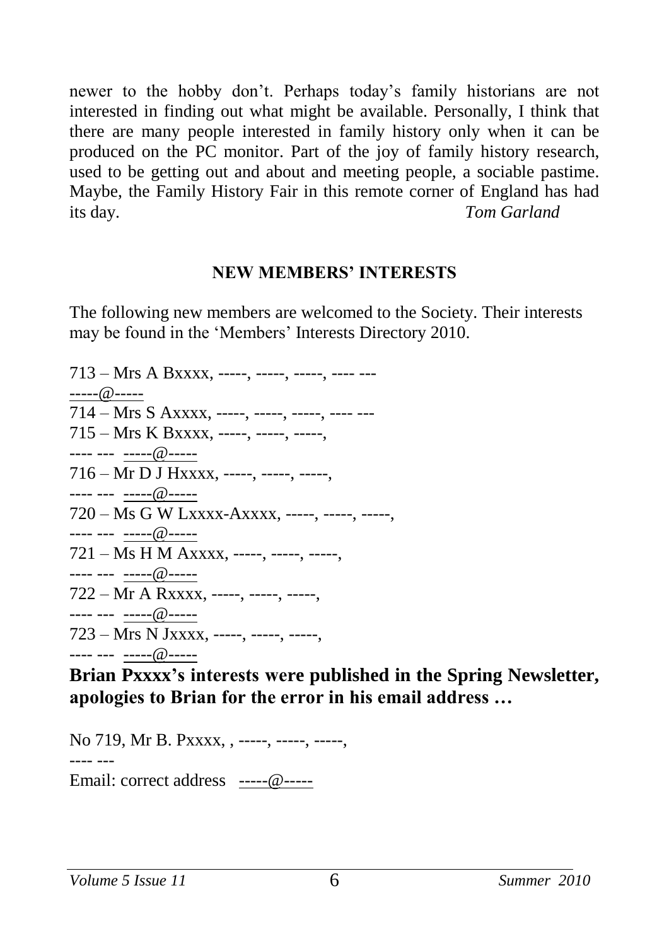newer to the hobby don't. Perhaps today's family historians are not interested in finding out what might be available. Personally, I think that there are many people interested in family history only when it can be produced on the PC monitor. Part of the joy of family history research, used to be getting out and about and meeting people, a sociable pastime. Maybe, the Family History Fair in this remote corner of England has had its day. *Tom Garland*

#### **NEW MEMBERS' INTERESTS**

The following new members are welcomed to the Society. Their interests may be found in the 'Members' Interests Directory 2010.

 $713 - Mrs A Bxxxx$ , -----, -----, -----, ---- --------@-----  $714 - Mrs S Axxxx$ , ----, ----, ----, ----, ----715 – Mrs K Bxxxx, -----, -----, -----, ---- --- -----@----- 716 – Mr D J Hxxxx, -----, -----, -----, ---- --- -----@----- 720 – Ms G W Lxxxx-Axxxx, -----, -----, -----, ---- --- -----@----- 721 – Ms H M Axxxx, -----, -----, -----, ---- --- -----@----- 722 – Mr A Rxxxx, -----, -----, -----, ---- --- -----@----- 723 – Mrs N Jxxxx, -----, -----, -----, ---- --- -----@-----

**Brian Pxxxx's interests were published in the Spring Newsletter, apologies to Brian for the error in his email address …**

No 719, Mr B. Pxxxx, , -----, -----, -----, ---- --- Email: correct address -----@-----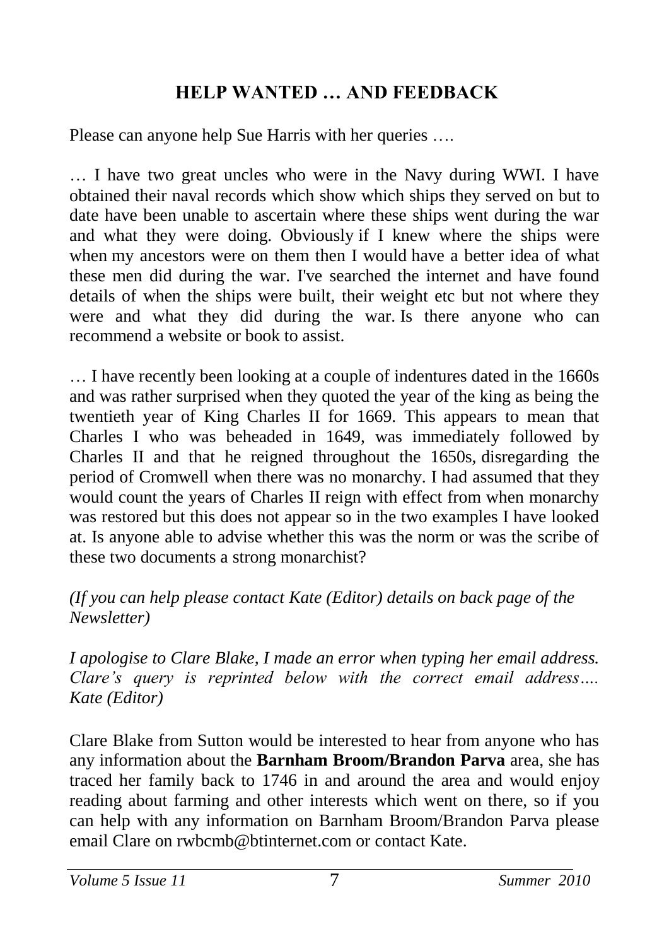## **HELP WANTED … AND FEEDBACK**

Please can anyone help Sue Harris with her queries ….

… I have two great uncles who were in the Navy during WWI. I have obtained their naval records which show which ships they served on but to date have been unable to ascertain where these ships went during the war and what they were doing. Obviously if I knew where the ships were when my ancestors were on them then I would have a better idea of what these men did during the war. I've searched the internet and have found details of when the ships were built, their weight etc but not where they were and what they did during the war. Is there anyone who can recommend a website or book to assist.

… I have recently been looking at a couple of indentures dated in the 1660s and was rather surprised when they quoted the year of the king as being the twentieth year of King Charles II for 1669. This appears to mean that Charles I who was beheaded in 1649, was immediately followed by Charles II and that he reigned throughout the 1650s, disregarding the period of Cromwell when there was no monarchy. I had assumed that they would count the years of Charles II reign with effect from when monarchy was restored but this does not appear so in the two examples I have looked at. Is anyone able to advise whether this was the norm or was the scribe of these two documents a strong monarchist?

#### *(If you can help please contact Kate (Editor) details on back page of the Newsletter)*

*I apologise to Clare Blake, I made an error when typing her email address. Clare's query is reprinted below with the correct email address…. Kate (Editor)*

Clare Blake from Sutton would be interested to hear from anyone who has any information about the **Barnham Broom/Brandon Parva** area, she has traced her family back to 1746 in and around the area and would enjoy reading about farming and other interests which went on there, so if you can help with any information on Barnham Broom/Brandon Parva please email Clare on rwbcmb@btinternet.com or contact Kate.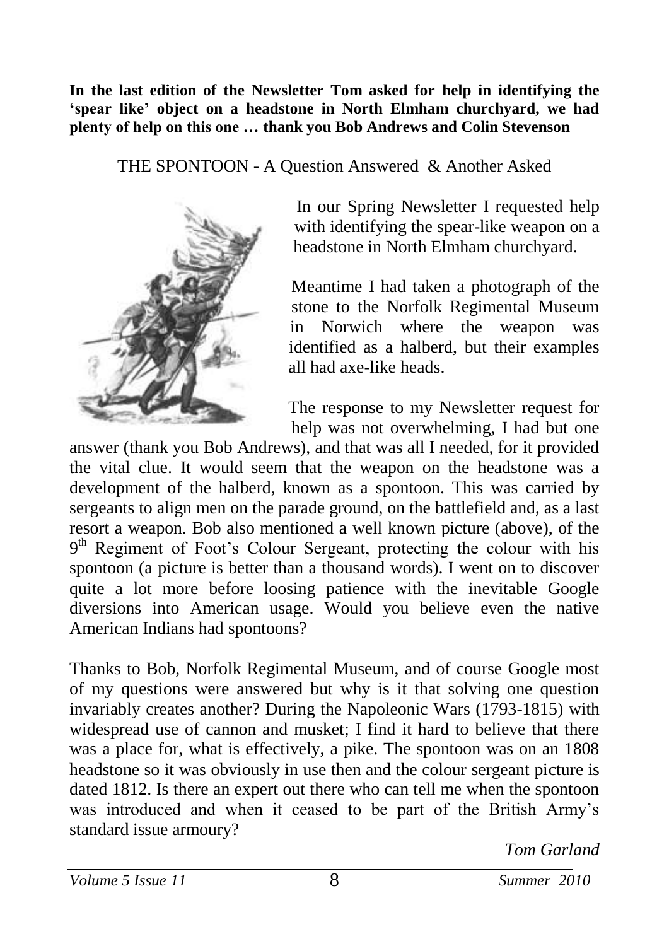**In the last edition of the Newsletter Tom asked for help in identifying the 'spear like' object on a headstone in North Elmham churchyard, we had plenty of help on this one … thank you Bob Andrews and Colin Stevenson**

THE SPONTOON - A Question Answered & Another Asked



 In our Spring Newsletter I requested help with identifying the spear-like weapon on a headstone in North Elmham churchyard.

Meantime I had taken a photograph of the stone to the Norfolk Regimental Museum in Norwich where the weapon was identified as a halberd, but their examples all had axe-like heads.

The response to my Newsletter request for help was not overwhelming, I had but one

answer (thank you Bob Andrews), and that was all I needed, for it provided the vital clue. It would seem that the weapon on the headstone was a development of the halberd, known as a spontoon. This was carried by sergeants to align men on the parade ground, on the battlefield and, as a last resort a weapon. Bob also mentioned a well known picture (above), of the 9<sup>th</sup> Regiment of Foot's Colour Sergeant, protecting the colour with his spontoon (a picture is better than a thousand words). I went on to discover quite a lot more before loosing patience with the inevitable Google diversions into American usage. Would you believe even the native American Indians had spontoons?

Thanks to Bob, Norfolk Regimental Museum, and of course Google most of my questions were answered but why is it that solving one question invariably creates another? During the Napoleonic Wars (1793-1815) with widespread use of cannon and musket; I find it hard to believe that there was a place for, what is effectively, a pike. The spontoon was on an 1808 headstone so it was obviously in use then and the colour sergeant picture is dated 1812. Is there an expert out there who can tell me when the spontoon was introduced and when it ceased to be part of the British Army's standard issue armoury?

*Tom Garland*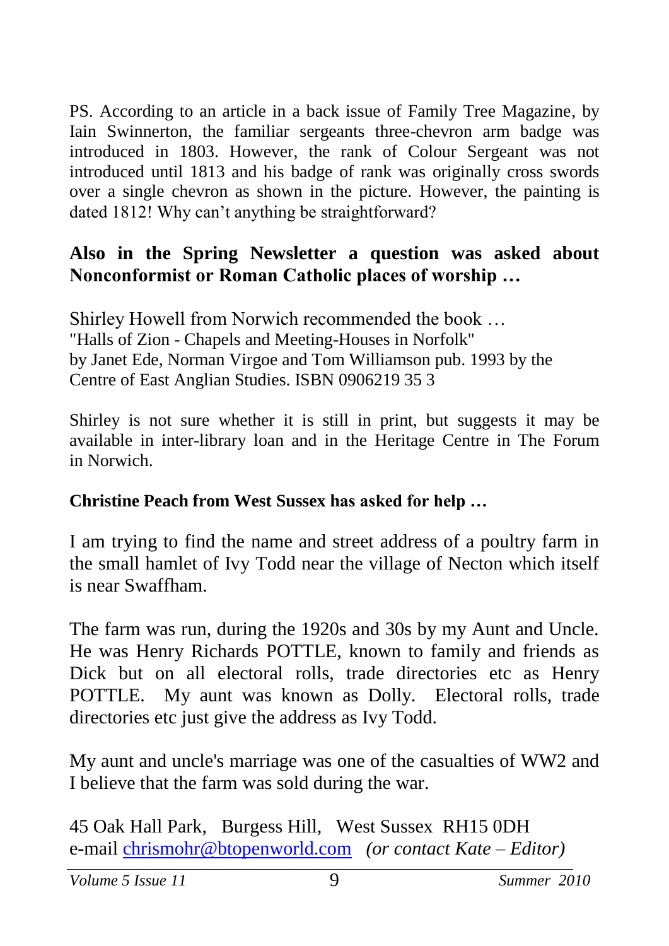PS. According to an article in a back issue of Family Tree Magazine, by Iain Swinnerton, the familiar sergeants three-chevron arm badge was introduced in 1803. However, the rank of Colour Sergeant was not introduced until 1813 and his badge of rank was originally cross swords over a single chevron as shown in the picture. However, the painting is dated 1812! Why can't anything be straightforward?

#### **Also in the Spring Newsletter a question was asked about Nonconformist or Roman Catholic places of worship …**

Shirley Howell from Norwich recommended the book … "Halls of Zion - Chapels and Meeting-Houses in Norfolk" by Janet Ede, Norman Virgoe and Tom Williamson pub. 1993 by the Centre of East Anglian Studies. ISBN 0906219 35 3

Shirley is not sure whether it is still in print, but suggests it may be available in inter-library loan and in the Heritage Centre in The Forum in Norwich.

#### **Christine Peach from West Sussex has asked for help …**

I am trying to find the name and street address of a poultry farm in the small hamlet of Ivy Todd near the village of Necton which itself is near Swaffham.

The farm was run, during the 1920s and 30s by my Aunt and Uncle. He was Henry Richards POTTLE, known to family and friends as Dick but on all electoral rolls, trade directories etc as Henry POTTLE. My aunt was known as Dolly. Electoral rolls, trade directories etc just give the address as Ivy Todd.

My aunt and uncle's marriage was one of the casualties of WW2 and I believe that the farm was sold during the war.

45 Oak Hall Park, Burgess Hill, West Sussex RH15 0DH e-mail [chrismohr@btopenworld.com](mailto:chrismohr@btopenworld.com) *(or contact Kate – Editor)*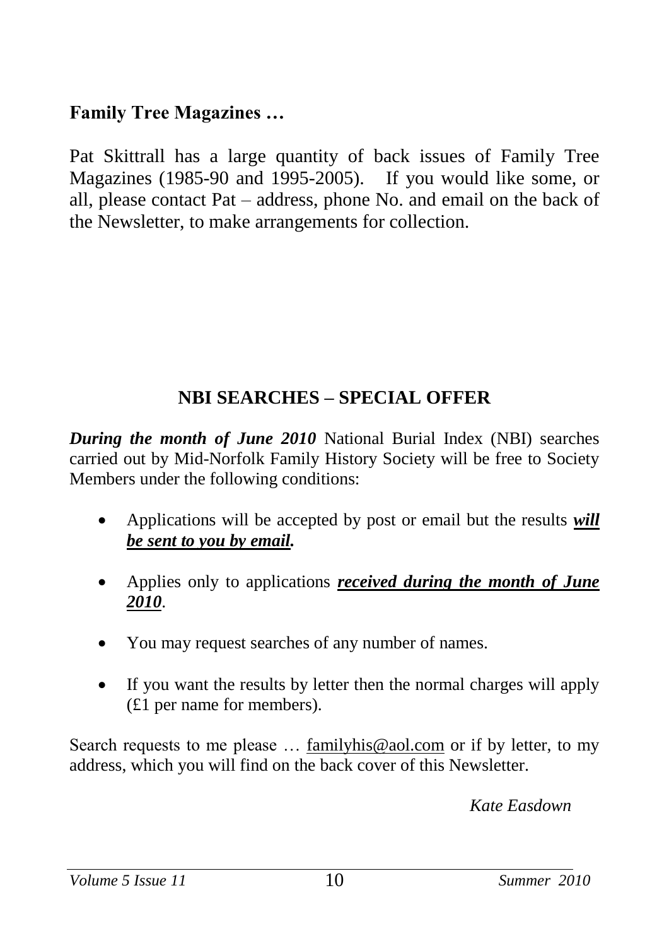## **Family Tree Magazines …**

Pat Skittrall has a large quantity of back issues of Family Tree Magazines (1985-90 and 1995-2005). If you would like some, or all, please contact Pat – address, phone No. and email on the back of the Newsletter, to make arrangements for collection.

## **NBI SEARCHES – SPECIAL OFFER**

*During the month of June 2010* National Burial Index (NBI) searches carried out by Mid-Norfolk Family History Society will be free to Society Members under the following conditions:

- Applications will be accepted by post or email but the results *will be sent to you by email.*
- Applies only to applications *received during the month of June 2010*.
- You may request searches of any number of names.
- If you want the results by letter then the normal charges will apply (£1 per name for members).

Search requests to me please ... [familyhis@aol.com](mailto:familyhis@aol.com) or if by letter, to my address, which you will find on the back cover of this Newsletter.

*Kate Easdown*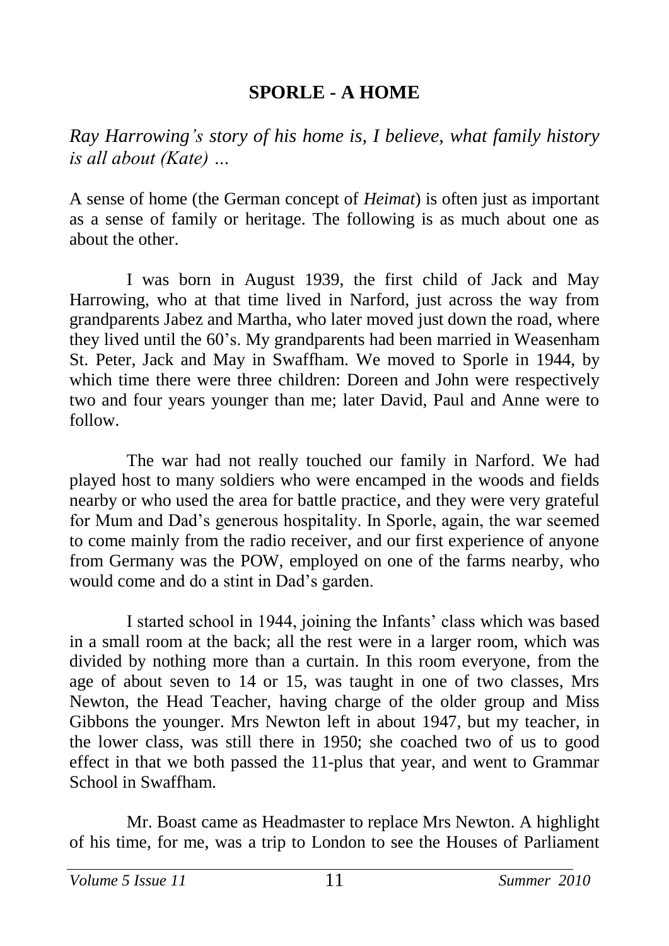## **SPORLE - A HOME**

*Ray Harrowing's story of his home is, I believe, what family history is all about (Kate) …*

A sense of home (the German concept of *Heimat*) is often just as important as a sense of family or heritage. The following is as much about one as about the other.

I was born in August 1939, the first child of Jack and May Harrowing, who at that time lived in Narford, just across the way from grandparents Jabez and Martha, who later moved just down the road, where they lived until the 60's. My grandparents had been married in Weasenham St. Peter, Jack and May in Swaffham. We moved to Sporle in 1944, by which time there were three children: Doreen and John were respectively two and four years younger than me; later David, Paul and Anne were to follow.

The war had not really touched our family in Narford. We had played host to many soldiers who were encamped in the woods and fields nearby or who used the area for battle practice, and they were very grateful for Mum and Dad's generous hospitality. In Sporle, again, the war seemed to come mainly from the radio receiver, and our first experience of anyone from Germany was the POW, employed on one of the farms nearby, who would come and do a stint in Dad's garden.

I started school in 1944, joining the Infants' class which was based in a small room at the back; all the rest were in a larger room, which was divided by nothing more than a curtain. In this room everyone, from the age of about seven to 14 or 15, was taught in one of two classes, Mrs Newton, the Head Teacher, having charge of the older group and Miss Gibbons the younger. Mrs Newton left in about 1947, but my teacher, in the lower class, was still there in 1950; she coached two of us to good effect in that we both passed the 11-plus that year, and went to Grammar School in Swaffham.

Mr. Boast came as Headmaster to replace Mrs Newton. A highlight of his time, for me, was a trip to London to see the Houses of Parliament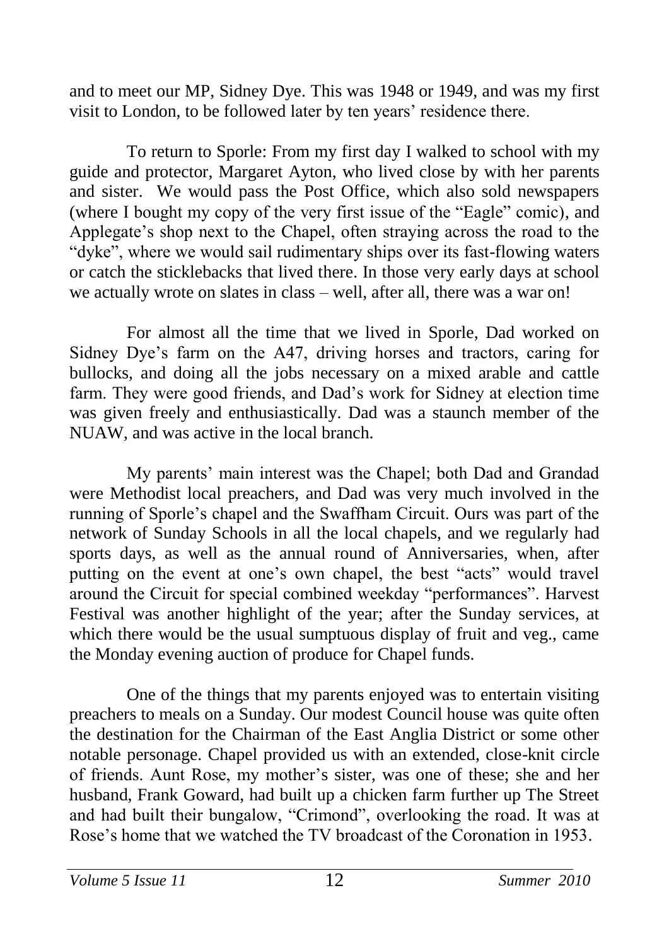and to meet our MP, Sidney Dye. This was 1948 or 1949, and was my first visit to London, to be followed later by ten years' residence there.

To return to Sporle: From my first day I walked to school with my guide and protector, Margaret Ayton, who lived close by with her parents and sister. We would pass the Post Office, which also sold newspapers (where I bought my copy of the very first issue of the "Eagle" comic), and Applegate's shop next to the Chapel, often straying across the road to the "dyke", where we would sail rudimentary ships over its fast-flowing waters or catch the sticklebacks that lived there. In those very early days at school we actually wrote on slates in class – well, after all, there was a war on!

For almost all the time that we lived in Sporle, Dad worked on Sidney Dye's farm on the A47, driving horses and tractors, caring for bullocks, and doing all the jobs necessary on a mixed arable and cattle farm. They were good friends, and Dad's work for Sidney at election time was given freely and enthusiastically. Dad was a staunch member of the NUAW, and was active in the local branch.

My parents' main interest was the Chapel; both Dad and Grandad were Methodist local preachers, and Dad was very much involved in the running of Sporle's chapel and the Swaffham Circuit. Ours was part of the network of Sunday Schools in all the local chapels, and we regularly had sports days, as well as the annual round of Anniversaries, when, after putting on the event at one's own chapel, the best "acts" would travel around the Circuit for special combined weekday "performances". Harvest Festival was another highlight of the year; after the Sunday services, at which there would be the usual sumptuous display of fruit and veg., came the Monday evening auction of produce for Chapel funds.

One of the things that my parents enjoyed was to entertain visiting preachers to meals on a Sunday. Our modest Council house was quite often the destination for the Chairman of the East Anglia District or some other notable personage. Chapel provided us with an extended, close-knit circle of friends. Aunt Rose, my mother's sister, was one of these; she and her husband, Frank Goward, had built up a chicken farm further up The Street and had built their bungalow, "Crimond", overlooking the road. It was at Rose's home that we watched the TV broadcast of the Coronation in 1953.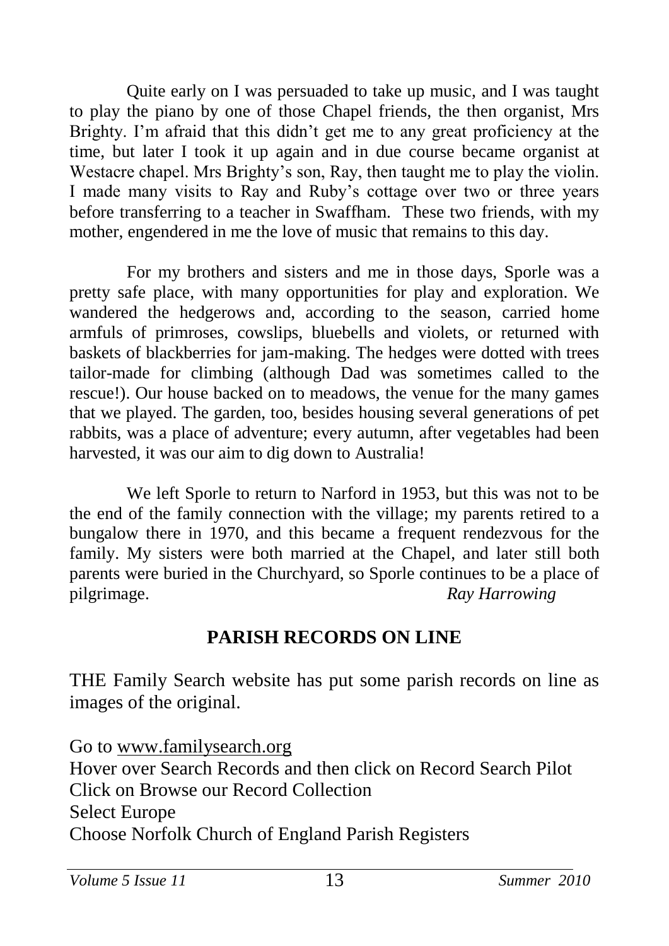Quite early on I was persuaded to take up music, and I was taught to play the piano by one of those Chapel friends, the then organist, Mrs Brighty. I'm afraid that this didn't get me to any great proficiency at the time, but later I took it up again and in due course became organist at Westacre chapel. Mrs Brighty's son, Ray, then taught me to play the violin. I made many visits to Ray and Ruby's cottage over two or three years before transferring to a teacher in Swaffham. These two friends, with my mother, engendered in me the love of music that remains to this day.

For my brothers and sisters and me in those days, Sporle was a pretty safe place, with many opportunities for play and exploration. We wandered the hedgerows and, according to the season, carried home armfuls of primroses, cowslips, bluebells and violets, or returned with baskets of blackberries for jam-making. The hedges were dotted with trees tailor-made for climbing (although Dad was sometimes called to the rescue!). Our house backed on to meadows, the venue for the many games that we played. The garden, too, besides housing several generations of pet rabbits, was a place of adventure; every autumn, after vegetables had been harvested, it was our aim to dig down to Australia!

We left Sporle to return to Narford in 1953, but this was not to be the end of the family connection with the village; my parents retired to a bungalow there in 1970, and this became a frequent rendezvous for the family. My sisters were both married at the Chapel, and later still both parents were buried in the Churchyard, so Sporle continues to be a place of pilgrimage. *Ray Harrowing*

## **PARISH RECORDS ON LINE**

THE Family Search website has put some parish records on line as images of the original.

Go to [www.familysearch.org](http://www.familysearch.org/) Hover over Search Records and then click on Record Search Pilot Click on Browse our Record Collection Select Europe Choose Norfolk Church of England Parish Registers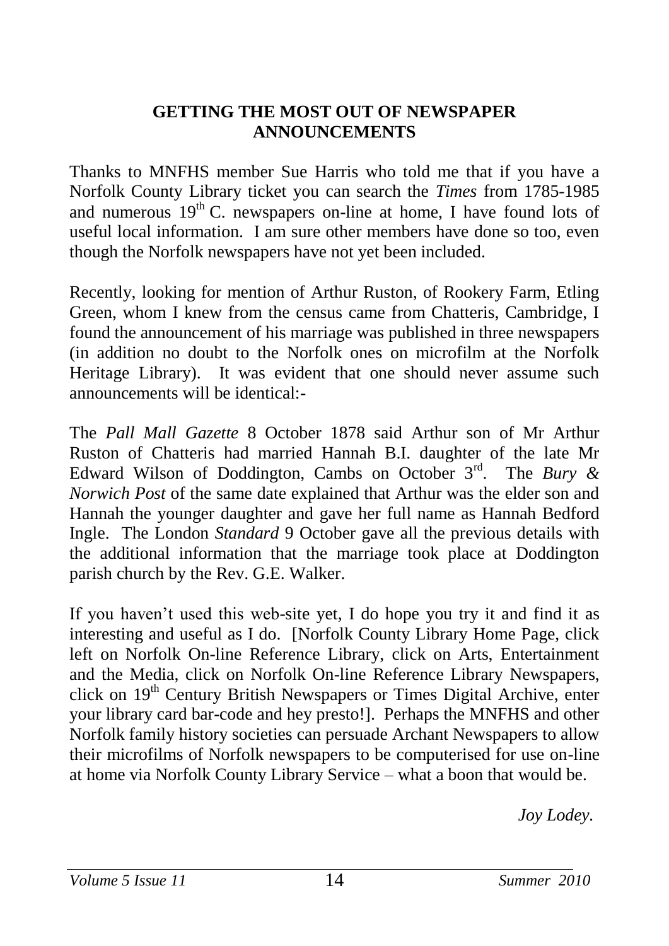#### **GETTING THE MOST OUT OF NEWSPAPER ANNOUNCEMENTS**

Thanks to MNFHS member Sue Harris who told me that if you have a Norfolk County Library ticket you can search the *Times* from 1785-1985 and numerous  $19<sup>th</sup>$  C. newspapers on-line at home, I have found lots of useful local information. I am sure other members have done so too, even though the Norfolk newspapers have not yet been included.

Recently, looking for mention of Arthur Ruston, of Rookery Farm, Etling Green, whom I knew from the census came from Chatteris, Cambridge, I found the announcement of his marriage was published in three newspapers (in addition no doubt to the Norfolk ones on microfilm at the Norfolk Heritage Library). It was evident that one should never assume such announcements will be identical:-

The *Pall Mall Gazette* 8 October 1878 said Arthur son of Mr Arthur Ruston of Chatteris had married Hannah B.I. daughter of the late Mr Edward Wilson of Doddington, Cambs on October 3rd. The *Bury & Norwich Post* of the same date explained that Arthur was the elder son and Hannah the younger daughter and gave her full name as Hannah Bedford Ingle. The London *Standard* 9 October gave all the previous details with the additional information that the marriage took place at Doddington parish church by the Rev. G.E. Walker.

If you haven't used this web-site yet, I do hope you try it and find it as interesting and useful as I do. [Norfolk County Library Home Page, click left on Norfolk On-line Reference Library, click on Arts, Entertainment and the Media, click on Norfolk On-line Reference Library Newspapers, click on 19<sup>th</sup> Century British Newspapers or Times Digital Archive, enter your library card bar-code and hey presto!]. Perhaps the MNFHS and other Norfolk family history societies can persuade Archant Newspapers to allow their microfilms of Norfolk newspapers to be computerised for use on-line at home via Norfolk County Library Service – what a boon that would be.

*Joy Lodey.*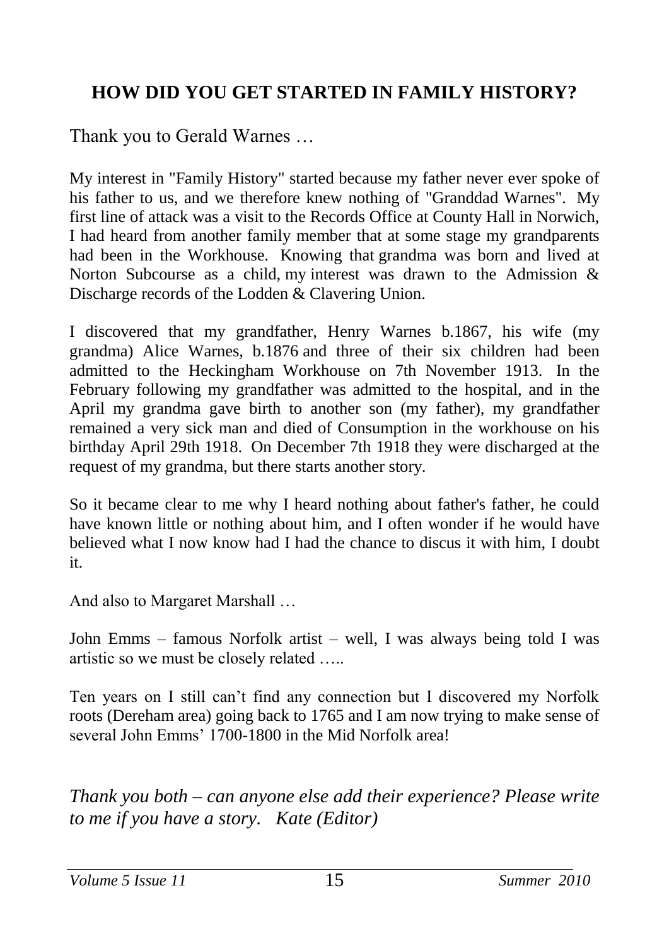## **HOW DID YOU GET STARTED IN FAMILY HISTORY?**

Thank you to Gerald Warnes …

My interest in "Family History" started because my father never ever spoke of his father to us, and we therefore knew nothing of "Granddad Warnes". My first line of attack was a visit to the Records Office at County Hall in Norwich, I had heard from another family member that at some stage my grandparents had been in the Workhouse. Knowing that grandma was born and lived at Norton Subcourse as a child, my interest was drawn to the Admission & Discharge records of the Lodden & Clavering Union.

I discovered that my grandfather, Henry Warnes b.1867, his wife (my grandma) Alice Warnes, b.1876 and three of their six children had been admitted to the Heckingham Workhouse on 7th November 1913. In the February following my grandfather was admitted to the hospital, and in the April my grandma gave birth to another son (my father), my grandfather remained a very sick man and died of Consumption in the workhouse on his birthday April 29th 1918. On December 7th 1918 they were discharged at the request of my grandma, but there starts another story.

So it became clear to me why I heard nothing about father's father, he could have known little or nothing about him, and I often wonder if he would have believed what I now know had I had the chance to discus it with him, I doubt it.

And also to Margaret Marshall …

John Emms – famous Norfolk artist – well, I was always being told I was artistic so we must be closely related …..

Ten years on I still can't find any connection but I discovered my Norfolk roots (Dereham area) going back to 1765 and I am now trying to make sense of several John Emms' 1700-1800 in the Mid Norfolk area!

*Thank you both – can anyone else add their experience? Please write to me if you have a story. Kate (Editor)*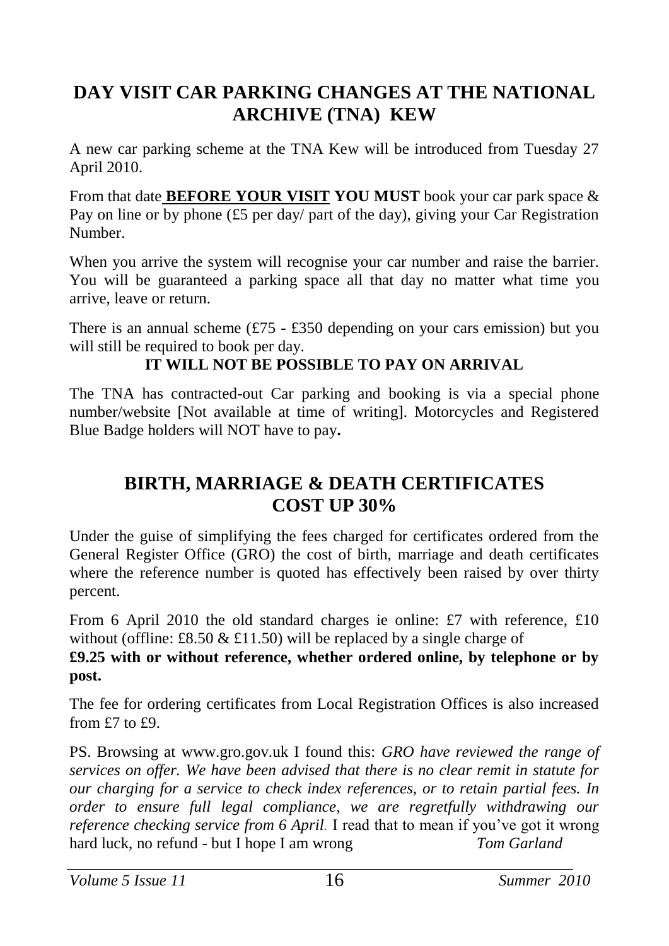## **DAY VISIT CAR PARKING CHANGES AT THE NATIONAL ARCHIVE (TNA) KEW**

A new car parking scheme at the TNA Kew will be introduced from Tuesday 27 April 2010.

From that date **BEFORE YOUR VISIT YOU MUST** book your car park space & Pay on line or by phone (£5 per day/ part of the day), giving your Car Registration Number.

When you arrive the system will recognise your car number and raise the barrier. You will be guaranteed a parking space all that day no matter what time you arrive, leave or return.

There is an annual scheme  $(\text{\textsterling}75 - \text{\textsterling}350)$  depending on your cars emission) but you will still be required to book per day.

#### **IT WILL NOT BE POSSIBLE TO PAY ON ARRIVAL**

The TNA has contracted-out Car parking and booking is via a special phone number/website [Not available at time of writing]. Motorcycles and Registered Blue Badge holders will NOT have to pay**.**

#### **BIRTH, MARRIAGE & DEATH CERTIFICATES COST UP 30%**

Under the guise of simplifying the fees charged for certificates ordered from the General Register Office (GRO) the cost of birth, marriage and death certificates where the reference number is quoted has effectively been raised by over thirty percent.

From 6 April 2010 the old standard charges ie online: £7 with reference, £10 without (offline: £8.50  $&$  £11.50) will be replaced by a single charge of

#### **£9.25 with or without reference, whether ordered online, by telephone or by post.**

The fee for ordering certificates from Local Registration Offices is also increased from £7 to £9.

PS. Browsing at www.gro.gov.uk I found this: *GRO have reviewed the range of services on offer. We have been advised that there is no clear remit in statute for our charging for a service to check index references, or to retain partial fees. In order to ensure full legal compliance, we are regretfully withdrawing our reference checking service from 6 April.* I read that to mean if you've got it wrong hard luck, no refund - but I hope I am wrong *Tom Garland*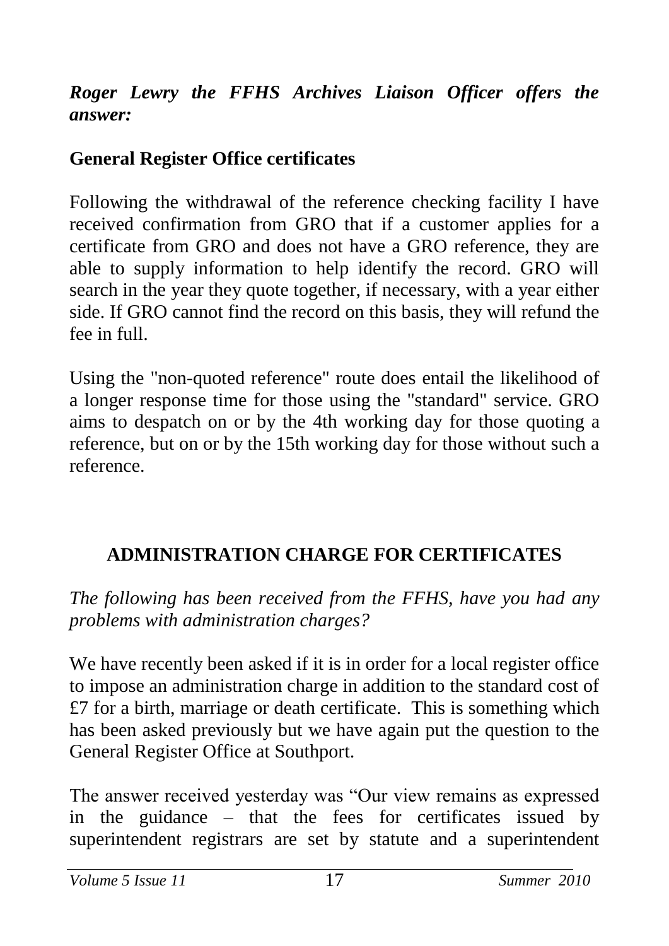## *Roger Lewry the FFHS Archives Liaison Officer offers the answer:*

## **General Register Office certificates**

Following the withdrawal of the reference checking facility I have received confirmation from GRO that if a customer applies for a certificate from GRO and does not have a GRO reference, they are able to supply information to help identify the record. GRO will search in the year they quote together, if necessary, with a year either side. If GRO cannot find the record on this basis, they will refund the fee in full.

Using the "non-quoted reference" route does entail the likelihood of a longer response time for those using the "standard" service. GRO aims to despatch on or by the 4th working day for those quoting a reference, but on or by the 15th working day for those without such a reference.

## **ADMINISTRATION CHARGE FOR CERTIFICATES**

*The following has been received from the FFHS, have you had any problems with administration charges?*

We have recently been asked if it is in order for a local register office to impose an administration charge in addition to the standard cost of  $£7$  for a birth, marriage or death certificate. This is something which has been asked previously but we have again put the question to the General Register Office at Southport.

The answer received yesterday was "Our view remains as expressed in the guidance – that the fees for certificates issued by superintendent registrars are set by statute and a superintendent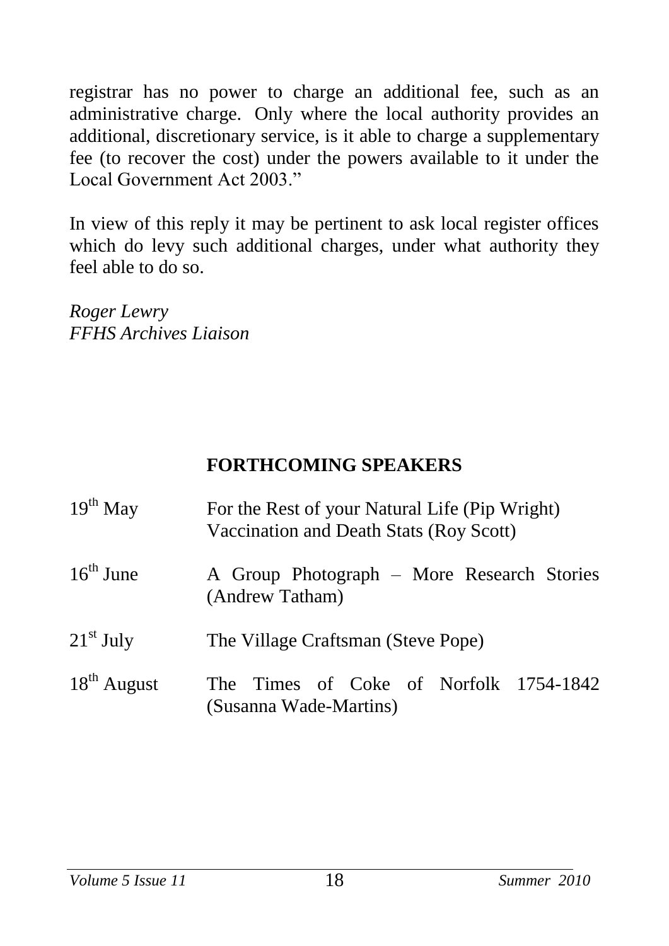registrar has no power to charge an additional fee, such as an administrative charge. Only where the local authority provides an additional, discretionary service, is it able to charge a supplementary fee (to recover the cost) under the powers available to it under the Local Government Act 2003."

In view of this reply it may be pertinent to ask local register offices which do levy such additional charges, under what authority they feel able to do so.

*Roger Lewry FFHS Archives Liaison*

## **FORTHCOMING SPEAKERS**

| $19th$ May            | For the Rest of your Natural Life (Pip Wright)<br>Vaccination and Death Stats (Roy Scott) |
|-----------------------|-------------------------------------------------------------------------------------------|
| $16^{\text{th}}$ June | A Group Photograph – More Research Stories<br>(Andrew Tatham)                             |
| $21st$ July           | The Village Craftsman (Steve Pope)                                                        |
| $18^{th}$ August      | The Times of Coke of Norfolk 1754-1842<br>(Susanna Wade-Martins)                          |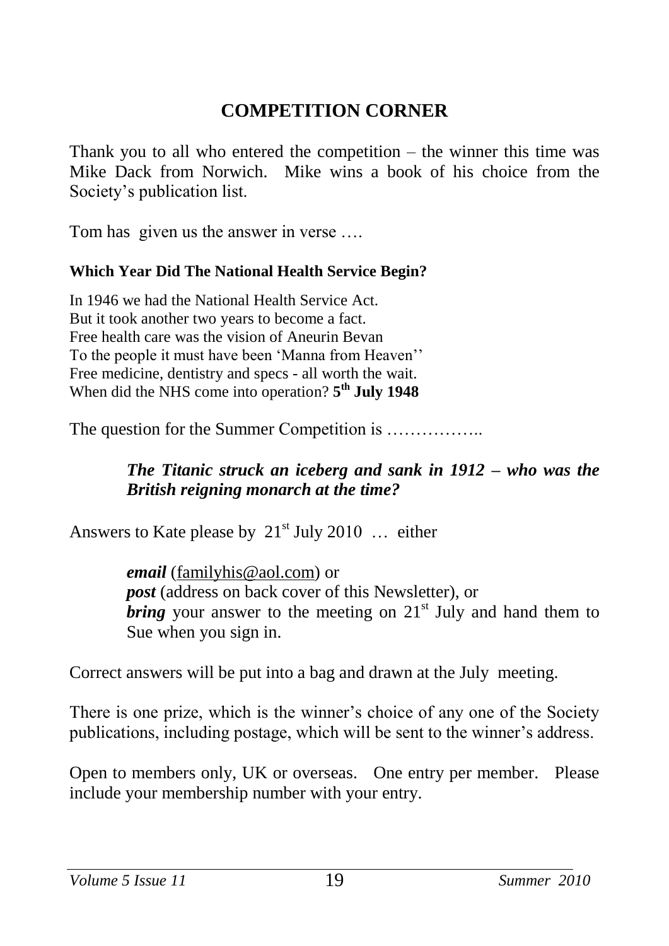## **COMPETITION CORNER**

Thank you to all who entered the competition – the winner this time was Mike Dack from Norwich. Mike wins a book of his choice from the Society's publication list.

Tom has given us the answer in verse ....

#### **Which Year Did The National Health Service Begin?**

In 1946 we had the National Health Service Act. But it took another two years to become a fact. Free health care was the vision of Aneurin Bevan To the people it must have been 'Manna from Heaven'' Free medicine, dentistry and specs - all worth the wait. When did the NHS come into operation? **5 th July 1948**

The question for the Summer Competition is .................

#### *The Titanic struck an iceberg and sank in 1912 – who was the British reigning monarch at the time?*

Answers to Kate please by  $21<sup>st</sup>$  July 2010 ... either

*email* [\(familyhis@aol.com\)](mailto:familyhis@aol.com) or *post* (address on back cover of this Newsletter), or *bring* your answer to the meeting on  $21<sup>st</sup>$  July and hand them to Sue when you sign in.

Correct answers will be put into a bag and drawn at the July meeting.

There is one prize, which is the winner's choice of any one of the Society publications, including postage, which will be sent to the winner's address.

Open to members only, UK or overseas. One entry per member. Please include your membership number with your entry.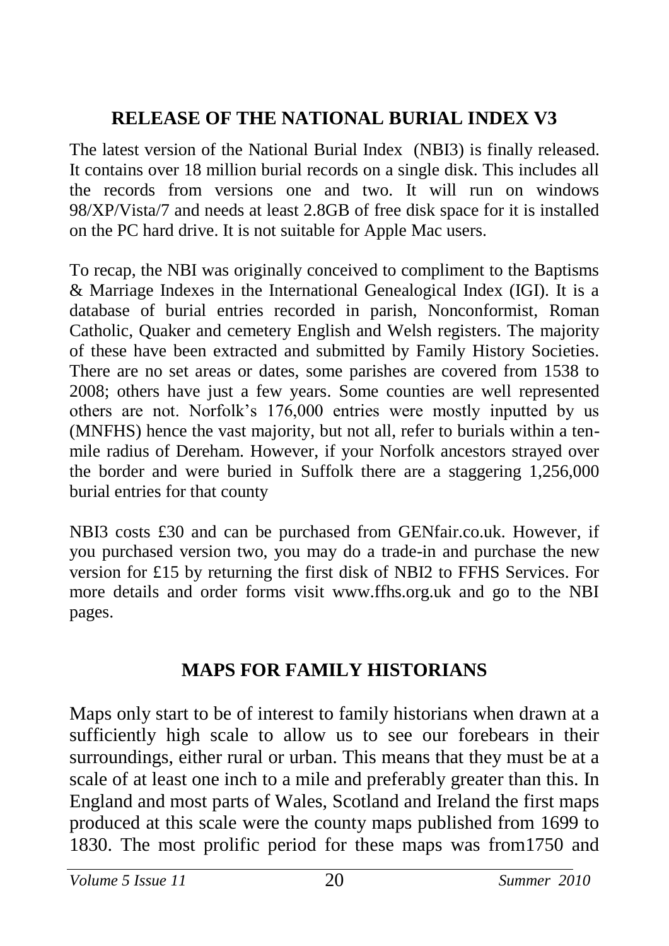## **RELEASE OF THE NATIONAL BURIAL INDEX V3**

The latest version of the National Burial Index (NBI3) is finally released. It contains over 18 million burial records on a single disk. This includes all the records from versions one and two. It will run on windows 98/XP/Vista/7 and needs at least 2.8GB of free disk space for it is installed on the PC hard drive. It is not suitable for Apple Mac users.

To recap, the NBI was originally conceived to compliment to the Baptisms & Marriage Indexes in the International Genealogical Index (IGI). It is a database of burial entries recorded in parish, Nonconformist, Roman Catholic, Quaker and cemetery English and Welsh registers. The majority of these have been extracted and submitted by Family History Societies. There are no set areas or dates, some parishes are covered from 1538 to 2008; others have just a few years. Some counties are well represented others are not. Norfolk's 176,000 entries were mostly inputted by us (MNFHS) hence the vast majority, but not all, refer to burials within a tenmile radius of Dereham. However, if your Norfolk ancestors strayed over the border and were buried in Suffolk there are a staggering 1,256,000 burial entries for that county

NBI3 costs £30 and can be purchased from GENfair.co.uk. However, if you purchased version two, you may do a trade-in and purchase the new version for £15 by returning the first disk of NBI2 to FFHS Services. For more details and order forms visit www.ffhs.org.uk and go to the NBI pages.

## **MAPS FOR FAMILY HISTORIANS**

Maps only start to be of interest to family historians when drawn at a sufficiently high scale to allow us to see our forebears in their surroundings, either rural or urban. This means that they must be at a scale of at least one inch to a mile and preferably greater than this. In England and most parts of Wales, Scotland and Ireland the first maps produced at this scale were the county maps published from 1699 to 1830. The most prolific period for these maps was from1750 and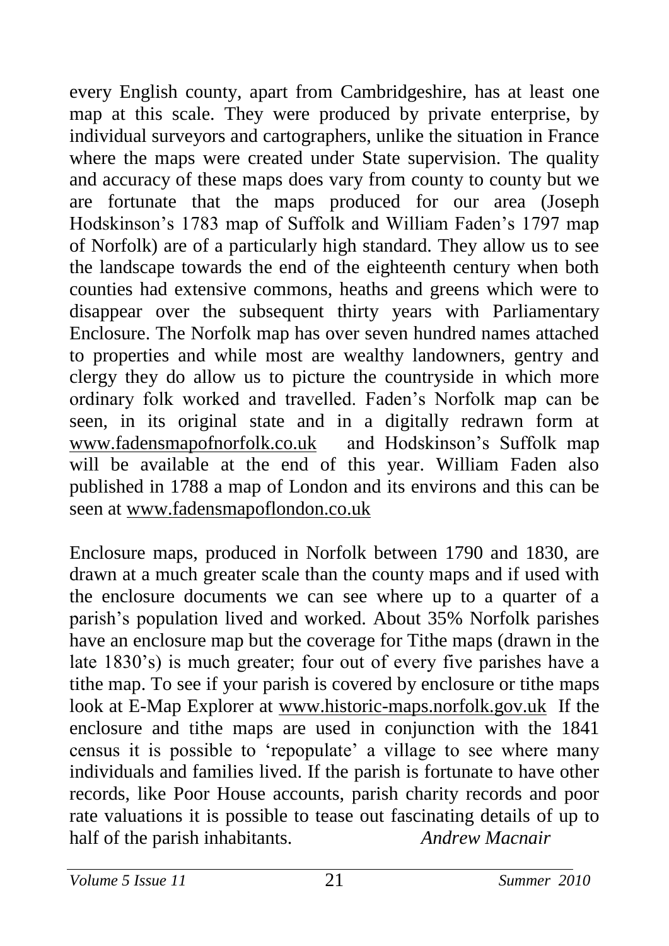every English county, apart from Cambridgeshire, has at least one map at this scale. They were produced by private enterprise, by individual surveyors and cartographers, unlike the situation in France where the maps were created under State supervision. The quality and accuracy of these maps does vary from county to county but we are fortunate that the maps produced for our area (Joseph Hodskinson's 1783 map of Suffolk and William Faden's 1797 map of Norfolk) are of a particularly high standard. They allow us to see the landscape towards the end of the eighteenth century when both counties had extensive commons, heaths and greens which were to disappear over the subsequent thirty years with Parliamentary Enclosure. The Norfolk map has over seven hundred names attached to properties and while most are wealthy landowners, gentry and clergy they do allow us to picture the countryside in which more ordinary folk worked and travelled. Faden's Norfolk map can be seen, in its original state and in a digitally redrawn form at [www.fadensmapofnorfolk.co.uk](http://www.fadensmapofnorfolk.co.uk/) and Hodskinson's Suffolk map will be available at the end of this year. William Faden also published in 1788 a map of London and its environs and this can be seen at [www.fadensmapoflondon.co.uk](http://www.fadensmapoflondon.co.uk/) 

Enclosure maps, produced in Norfolk between 1790 and 1830, are drawn at a much greater scale than the county maps and if used with the enclosure documents we can see where up to a quarter of a parish's population lived and worked. About 35% Norfolk parishes have an enclosure map but the coverage for Tithe maps (drawn in the late 1830's) is much greater; four out of every five parishes have a tithe map. To see if your parish is covered by enclosure or tithe maps look at E-Map Explorer at [www.historic-maps.norfolk.gov.uk](http://www.historic-maps.norfolk.gov.uk/) If the enclosure and tithe maps are used in conjunction with the 1841 census it is possible to 'repopulate' a village to see where many individuals and families lived. If the parish is fortunate to have other records, like Poor House accounts, parish charity records and poor rate valuations it is possible to tease out fascinating details of up to half of the parish inhabitants. *Andrew Macnair*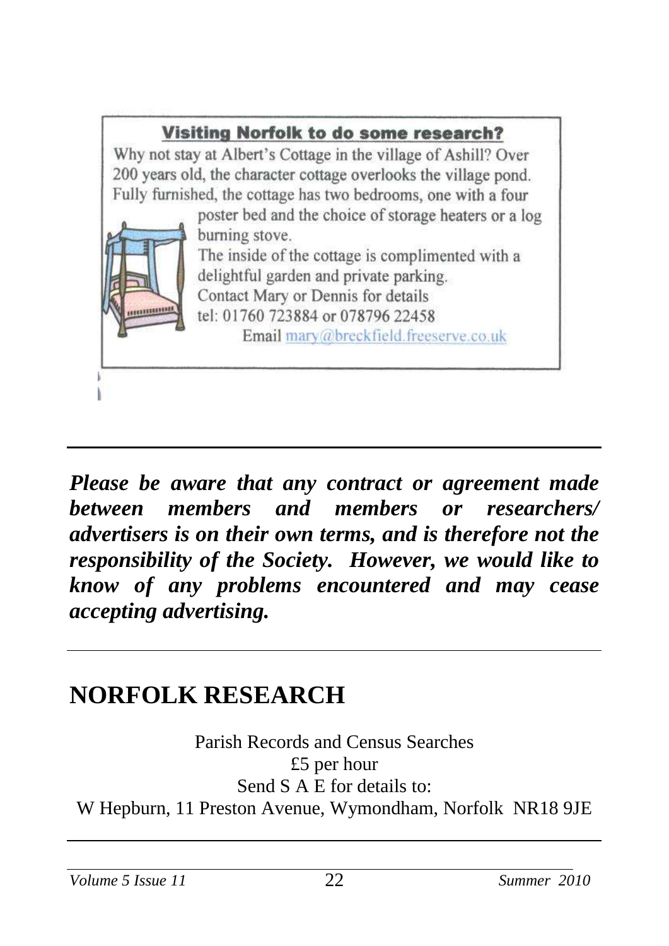

*Please be aware that any contract or agreement made between members and members or researchers/ advertisers is on their own terms, and is therefore not the responsibility of the Society. However, we would like to know of any problems encountered and may cease accepting advertising.*

# **NORFOLK RESEARCH**

Parish Records and Census Searches £5 per hour Send S A E for details to: W Hepburn, 11 Preston Avenue, Wymondham, Norfolk NR18 9JE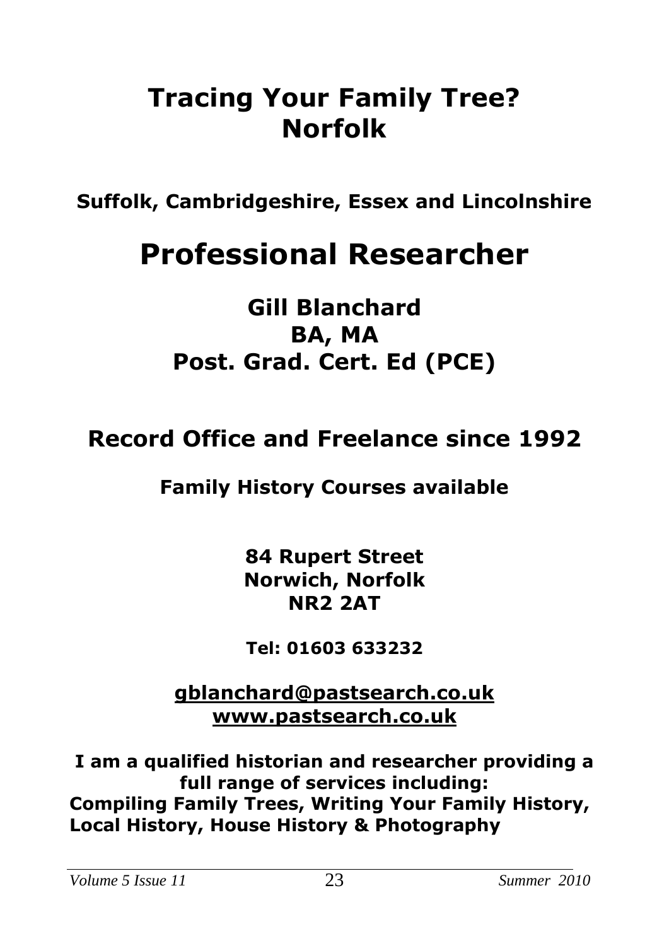# **Tracing Your Family Tree? Norfolk**

**Suffolk, Cambridgeshire, Essex and Lincolnshire**

# **Professional Researcher**

## **Gill Blanchard BA, MA Post. Grad. Cert. Ed (PCE)**

## **Record Office and Freelance since 1992**

## **Family History Courses available**

**84 Rupert Street Norwich, Norfolk NR2 2AT**

**Tel: 01603 633232**

**[gblanchard@pastsearch.co.uk](mailto:gblanchard@pastsearch.co.uk) [www.pastsearch.co.uk](http://www.pastsearch.co.uk/)**

**I am a qualified historian and researcher providing a full range of services including: Compiling Family Trees, Writing Your Family History, Local History, House History & Photography**